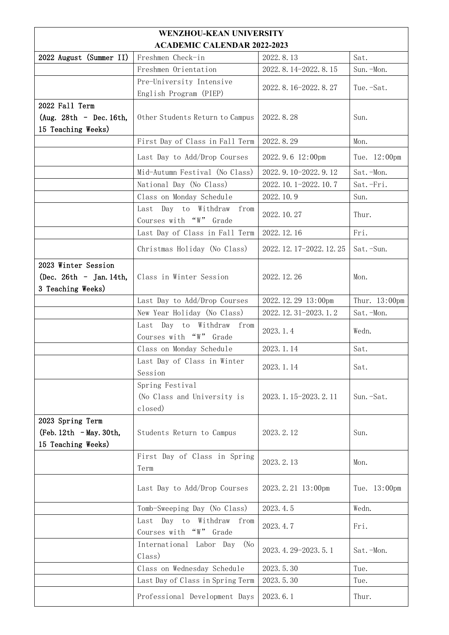|                                                                     | <b>WENZHOU-KEAN UNIVERSITY</b>                            |                           |               |  |  |
|---------------------------------------------------------------------|-----------------------------------------------------------|---------------------------|---------------|--|--|
| <b>ACADEMIC CALENDAR 2022-2023</b>                                  |                                                           |                           |               |  |  |
| 2022 August (Summer II)                                             | Freshmen Check-in                                         | 2022.8.13                 | Sat.          |  |  |
|                                                                     | Freshmen Orientation                                      | 2022. 8. 14-2022. 8. 15   | Sun. - Mon.   |  |  |
|                                                                     | Pre-University Intensive<br>English Program (PIEP)        | 2022. 8. 16-2022. 8. 27   | Tue. -Sat.    |  |  |
| 2022 Fall Term<br>(Aug. $28th$ - Dec. 16th,<br>15 Teaching Weeks)   | Other Students Return to Campus                           | 2022.8.28                 | Sun.          |  |  |
|                                                                     | First Day of Class in Fall Term                           | 2022.8.29                 | Mon.          |  |  |
|                                                                     | Last Day to Add/Drop Courses                              | 2022.9.6 12:00pm          | Tue. 12:00pm  |  |  |
|                                                                     | Mid-Autumn Festival (No Class)                            | 2022. 9. 10-2022. 9. 12   | Sat.-Mon.     |  |  |
|                                                                     | National Day (No Class)                                   | 2022. 10. 1-2022. 10. 7   | Sat.-Fri.     |  |  |
|                                                                     | Class on Monday Schedule                                  | 2022.10.9                 | Sun.          |  |  |
|                                                                     | Last Day to Withdraw from<br>Courses with "W" Grade       | 2022.10.27                | Thur.         |  |  |
|                                                                     | Last Day of Class in Fall Term                            | 2022.12.16                | Fri.          |  |  |
|                                                                     | Christmas Holiday (No Class)                              | 2022. 12. 17-2022. 12. 25 | Sat.-Sun.     |  |  |
| 2023 Winter Session<br>(Dec. 26th - Jan. 14th,<br>3 Teaching Weeks) | Class in Winter Session                                   | 2022.12.26                | Mon.          |  |  |
|                                                                     | Last Day to Add/Drop Courses                              | 2022.12.29 13:00pm        | Thur. 13:00pm |  |  |
|                                                                     | New Year Holiday (No Class)                               | 2022. 12. 31-2023. 1. 2   | Sat.-Mon.     |  |  |
|                                                                     | Last Day to Withdraw from<br>Courses with "W" Grade       | 2023.1.4                  | Wedn.         |  |  |
|                                                                     | Class on Monday Schedule                                  | 2023.1.14                 | Sat.          |  |  |
|                                                                     | Last Day of Class in Winter<br>Session                    | 2023.1.14                 | Sat.          |  |  |
|                                                                     | Spring Festival<br>(No Class and University is<br>closed) | 2023. 1. 15-2023. 2. 11   | Sun. -Sat.    |  |  |
| 2023 Spring Term<br>$(Feb. 12th - May. 30th,$<br>15 Teaching Weeks) | Students Return to Campus                                 | 2023.2.12                 | Sun.          |  |  |
|                                                                     | First Day of Class in Spring<br>Term                      | 2023.2.13                 | Mon.          |  |  |
|                                                                     | Last Day to Add/Drop Courses                              | 2023. 2. 21 13:00pm       | Tue. 13:00pm  |  |  |
|                                                                     | Tomb-Sweeping Day (No Class)                              | 2023.4.5                  | Wedn.         |  |  |
|                                                                     | Last Day to<br>Withdraw from<br>Courses with "W" Grade    | 2023.4.7                  | Fri.          |  |  |
|                                                                     | International Labor Day<br>(No<br>Class)                  | 2023. 4. 29-2023. 5. 1    | Sat.-Mon.     |  |  |
|                                                                     | Class on Wednesday Schedule                               | 2023.5.30                 | Tue.          |  |  |
|                                                                     | Last Day of Class in Spring Term                          | 2023.5.30                 | Tue.          |  |  |
|                                                                     | Professional Development Days                             | 2023.6.1                  | Thur.         |  |  |